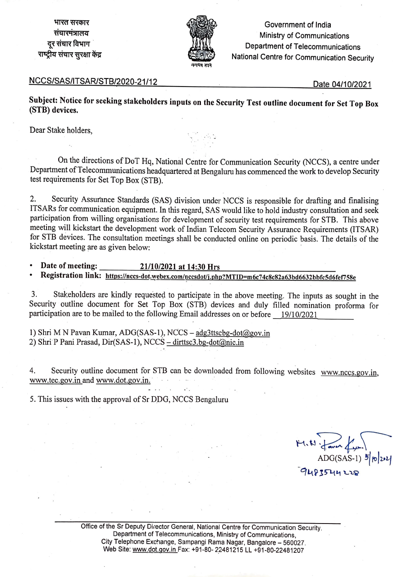भारत सरकार **~1'i:11'<'1:Sll<1<I**  दर संचार विभाग राष्ट्रीय संचार सरक्षा केंद्र



Government of India Ministry of Communications Department of Telecommunications National Centre for Communication Security

#### NCCS/SAS/ITSAR/STB/2020-21 /12

Date 04/10/2021

**Subject: Notice for seeking stakeholders inputs on the Security Test outline document for Set Top Box (STB) devices.** 

Dear Stake holders,

On the directions of DoT Hq, National Centre for Communication Security (NCCS), a centre under Department of Telecommunications headquartered at Bengaluru has commenced the work to develop Security test requirements for Set Top Box (STB).

2. Security Assurance Standards (SAS) division under NCCS is responsible for drafting and finalising ITSARs for communication equipment. In this regard, SAS would like to hold industry consultation and seek participation from willing organisations for development of security test requirements for STB. This above meeting will kickstart the development work of Indian Telecom Security Assurance Requirements (!TSAR) for STB devices. The consultation meetings shall be conducted online on periodic basis. The details of the kickstart meeting are as given below:

• **Date of meeting: 21/10/2021 at 14:30 Hrs** 

Registration link: https://nccs-dot.webex.com/nccsdot/j.php?MTID=m6c74c8c82a63bd6632bbfc5d6fef758e

3. Stakeholders are kindly requested to participate in the above meeting. The inputs as sought in the Security outline document for Set Top Box (STB) devices and duly filled nomination proforma for participation are to be mailed to the following Email addresses on or before 19/10/2021

1) Shri MN Pavan Kumar, ADG(SAS-1), NCCS - adg3ttscbg-dot@gov.in 2) Shri P Pani Prasad, Dir(SAS-1), NCCS -dirttsc3.bg-dot@nic.in

4. Security outline document for STB can be downloaded from following websites www.nccs.gov.in, www.tec.gov.in and www.dot.gov.in.

5. This issues with the approval of Sr DDG, NCCS Bengaluru

 $H, W$   $\overline{\downarrow}$  and  $\overline{\downarrow}$   $\downarrow$ ADG(SAS-1) إلا م  $9483544228$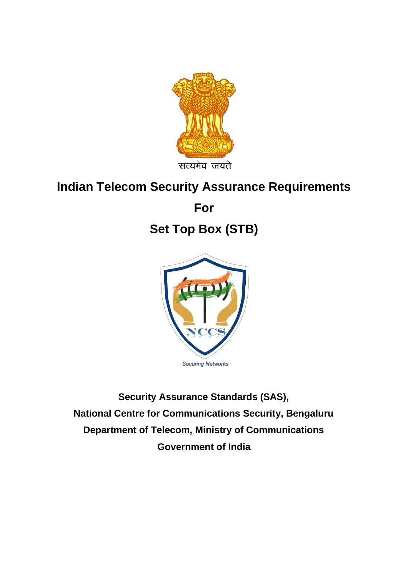

## **Indian Telecom Security Assurance Requirements**

**For** 

# **Set Top Box (STB)**



**Security Assurance Standards (SAS), National Centre for Communications Security, Bengaluru Department of Telecom, Ministry of Communications Government of India**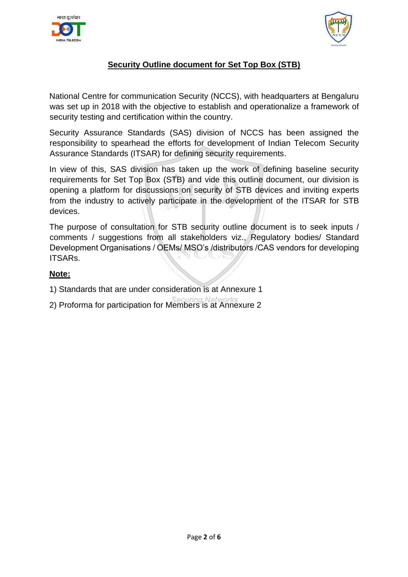



### **Security Outline document for Set Top Box (STB)**

National Centre for communication Security (NCCS), with headquarters at Bengaluru was set up in 2018 with the objective to establish and operationalize a framework of security testing and certification within the country.

Security Assurance Standards (SAS) division of NCCS has been assigned the responsibility to spearhead the efforts for development of Indian Telecom Security Assurance Standards (ITSAR) for defining security requirements.

In view of this, SAS division has taken up the work of defining baseline security requirements for Set Top Box (STB) and vide this outline document, our division is opening a platform for discussions on security of STB devices and inviting experts from the industry to actively participate in the development of the ITSAR for STB devices.

The purpose of consultation for STB security outline document is to seek inputs / comments / suggestions from all stakeholders viz., Regulatory bodies/ Standard Development Organisations / OEMs/ MSO's /distributors /CAS vendors for developing ITSARs.

#### **Note:**

- 1) Standards that are under consideration is at Annexure 1
- 2) Proforma for participation for Members is at Annexure 2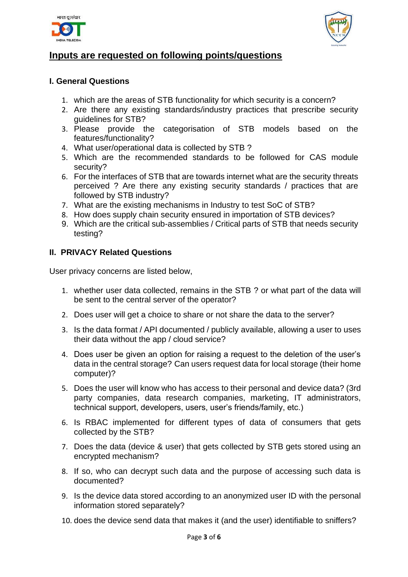



### **Inputs are requested on following points/questions**

#### **I. General Questions**

- 1. which are the areas of STB functionality for which security is a concern?
- 2. Are there any existing standards/industry practices that prescribe security guidelines for STB?
- 3. Please provide the categorisation of STB models based on the features/functionality?
- 4. What user/operational data is collected by STB ?
- 5. Which are the recommended standards to be followed for CAS module security?
- 6. For the interfaces of STB that are towards internet what are the security threats perceived ? Are there any existing security standards / practices that are followed by STB industry?
- 7. What are the existing mechanisms in Industry to test SoC of STB?
- 8. How does supply chain security ensured in importation of STB devices?
- 9. Which are the critical sub-assemblies / Critical parts of STB that needs security testing?

#### **II. PRIVACY Related Questions**

User privacy concerns are listed below,

- 1. whether user data collected, remains in the STB ? or what part of the data will be sent to the central server of the operator?
- 2. Does user will get a choice to share or not share the data to the server?
- 3. Is the data format / API documented / publicly available, allowing a user to uses their data without the app / cloud service?
- 4. Does user be given an option for raising a request to the deletion of the user's data in the central storage? Can users request data for local storage (their home computer)?
- 5. Does the user will know who has access to their personal and device data? (3rd party companies, data research companies, marketing, IT administrators, technical support, developers, users, user's friends/family, etc.)
- 6. Is RBAC implemented for different types of data of consumers that gets collected by the STB?
- 7. Does the data (device & user) that gets collected by STB gets stored using an encrypted mechanism?
- 8. If so, who can decrypt such data and the purpose of accessing such data is documented?
- 9. Is the device data stored according to an anonymized user ID with the personal information stored separately?
- 10. does the device send data that makes it (and the user) identifiable to sniffers?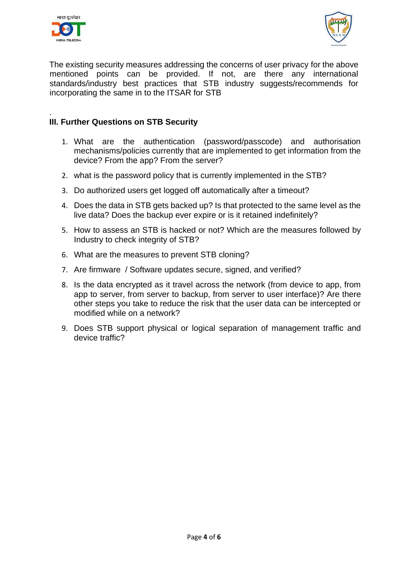



The existing security measures addressing the concerns of user privacy for the above mentioned points can be provided. If not, are there any international standards/industry best practices that STB industry suggests/recommends for incorporating the same in to the ITSAR for STB

#### . **III. Further Questions on STB Security**

- 1. What are the authentication (password/passcode) and authorisation mechanisms/policies currently that are implemented to get information from the device? From the app? From the server?
- 2. what is the password policy that is currently implemented in the STB?
- 3. Do authorized users get logged off automatically after a timeout?
- 4. Does the data in STB gets backed up? Is that protected to the same level as the live data? Does the backup ever expire or is it retained indefinitely?
- 5. How to assess an STB is hacked or not? Which are the measures followed by Industry to check integrity of STB?
- 6. What are the measures to prevent STB cloning?
- 7. Are firmware / Software updates secure, signed, and verified?
- 8. Is the data encrypted as it travel across the network (from device to app, from app to server, from server to backup, from server to user interface)? Are there other steps you take to reduce the risk that the user data can be intercepted or modified while on a network?
- 9. Does STB support physical or logical separation of management traffic and device traffic?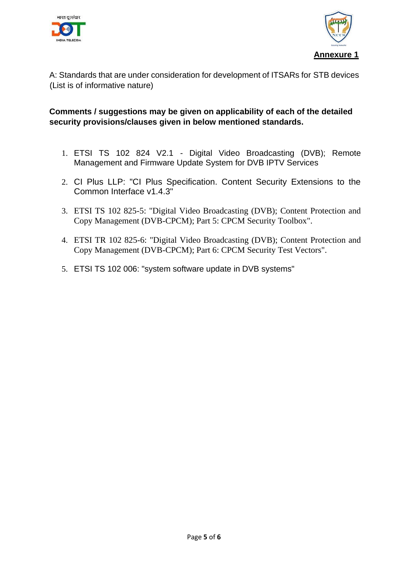



A: Standards that are under consideration for development of ITSARs for STB devices (List is of informative nature)

#### **Comments / suggestions may be given on applicability of each of the detailed security provisions/clauses given in below mentioned standards.**

- 1. ETSI TS 102 824 V2.1 Digital Video Broadcasting (DVB); Remote Management and Firmware Update System for DVB IPTV Services
- 2. CI Plus LLP: "CI Plus Specification. Content Security Extensions to the Common Interface v1.4.3"
- 3. ETSI TS 102 825-5: "Digital Video Broadcasting (DVB); Content Protection and Copy Management (DVB-CPCM); Part 5: CPCM Security Toolbox".
- 4. ETSI TR 102 825-6: "Digital Video Broadcasting (DVB); Content Protection and Copy Management (DVB-CPCM); Part 6: CPCM Security Test Vectors".
- 5. ETSI TS 102 006: "system software update in DVB systems"